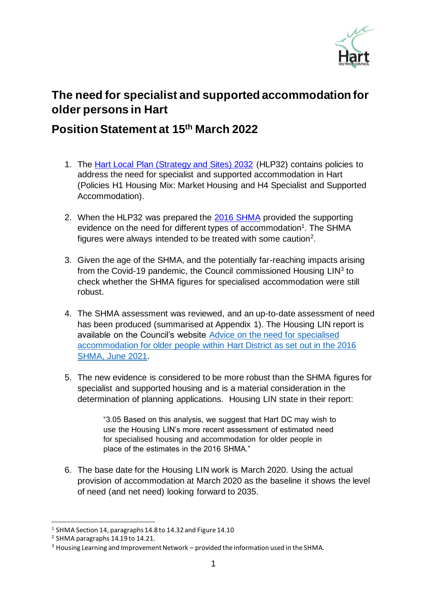

## **The need for specialist and supported accommodation for older persons in Hart**

## **Position Statement at 15 th March 2022**

- 1. The [Hart Local Plan \(Strategy and Sites\) 2032](https://www.hart.gov.uk/sites/default/files/4_The_Council/Policies_and_published_documents/Planning_policy/Hart%20LPS%26S.pdf) (HLP32) contains policies to address the need for specialist and supported accommodation in Hart (Policies H1 Housing Mix: Market Housing and H4 Specialist and Supported Accommodation).
- 2. When the HLP32 was prepared the [2016 SHMA](https://www.hart.gov.uk/sites/default/files/4_The_Council/Policies_and_published_documents/Planning_policy/HRSH%20SHMA%20Main%20Report%20Final%20161125.pdf) provided the supporting evidence on the need for different types of accommodation<sup>1</sup>. The SHMA figures were always intended to be treated with some caution<sup>2</sup>.
- 3. Given the age of the SHMA, and the potentially far-reaching impacts arising from the Covid-19 pandemic, the Council commissioned Housing  $LIN<sup>3</sup>$  to check whether the SHMA figures for specialised accommodation were still robust.
- 4. The SHMA assessment was reviewed, and an up-to-date assessment of need has been produced (summarised at Appendix 1). The Housing LIN report is available on the Council's website [Advice on the need for specialised](https://www.hart.gov.uk/sites/default/files/4_The_Council/Policies_and_published_documents/Planning_policy/Hart%20District%20Council%20SHMA%20Older%20Persons%20housing%20need%20review%20June%202021.pdf)  [accommodation for older people within Hart District as set out in the 2016](https://www.hart.gov.uk/sites/default/files/4_The_Council/Policies_and_published_documents/Planning_policy/Hart%20District%20Council%20SHMA%20Older%20Persons%20housing%20need%20review%20June%202021.pdf)  [SHMA, June 2021.](https://www.hart.gov.uk/sites/default/files/4_The_Council/Policies_and_published_documents/Planning_policy/Hart%20District%20Council%20SHMA%20Older%20Persons%20housing%20need%20review%20June%202021.pdf)
- 5. The new evidence is considered to be more robust than the SHMA figures for specialist and supported housing and is a material consideration in the determination of planning applications. Housing LIN state in their report:

"3.05 Based on this analysis, we suggest that Hart DC may wish to use the Housing LIN's more recent assessment of estimated need for specialised housing and accommodation for older people in place of the estimates in the 2016 SHMA."

6. The base date for the Housing LIN work is March 2020. Using the actual provision of accommodation at March 2020 as the baseline it shows the level of need (and net need) looking forward to 2035.

 $^1$  SHMA Section 14, paragraphs 14.8 to 14.32 and Figure 14.10

 $^2$  SHMA paragraphs 14.19 to 14.21.

 $3$  Housing Learning and Improvement Network – provided the information used in the SHMA.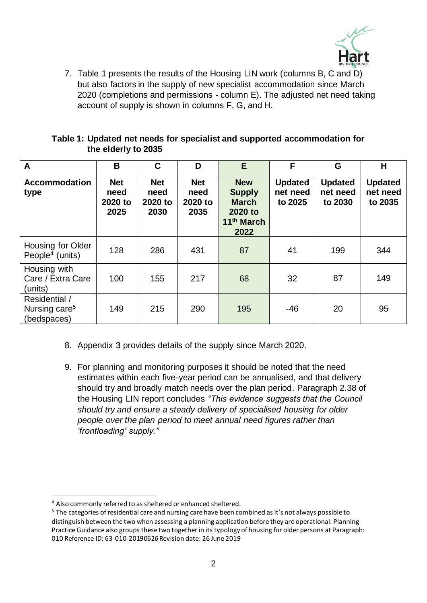

7. Table 1 presents the results of the Housing LIN work (columns B, C and D) but also factors in the supply of new specialist accommodation since March 2020 (completions and permissions - column E). The adjusted net need taking account of supply is shown in columns F, G, and H.

|                     | Table 1: Updated net needs for specialist and supported accommodation for |
|---------------------|---------------------------------------------------------------------------|
| the elderly to 2035 |                                                                           |

| A                                                         | B                                     | C                                     | D                                     | E                                                                                        | F                                     | G                                     | H                                     |
|-----------------------------------------------------------|---------------------------------------|---------------------------------------|---------------------------------------|------------------------------------------------------------------------------------------|---------------------------------------|---------------------------------------|---------------------------------------|
| <b>Accommodation</b><br>type                              | <b>Net</b><br>need<br>2020 to<br>2025 | <b>Net</b><br>need<br>2020 to<br>2030 | <b>Net</b><br>need<br>2020 to<br>2035 | <b>New</b><br><b>Supply</b><br><b>March</b><br>2020 to<br>11 <sup>th</sup> March<br>2022 | <b>Updated</b><br>net need<br>to 2025 | <b>Updated</b><br>net need<br>to 2030 | <b>Updated</b><br>net need<br>to 2035 |
| Housing for Older<br>People <sup>4</sup> (units)          | 128                                   | 286                                   | 431                                   | 87                                                                                       | 41                                    | 199                                   | 344                                   |
| Housing with<br>Care / Extra Care<br>(units)              | 100                                   | 155                                   | 217                                   | 68                                                                                       | 32                                    | 87                                    | 149                                   |
| Residential /<br>Nursing care <sup>5</sup><br>(bedspaces) | 149                                   | 215                                   | 290                                   | 195                                                                                      | $-46$                                 | 20                                    | 95                                    |

- 8. Appendix 3 provides details of the supply since March 2020.
- 9. For planning and monitoring purposes it should be noted that the need estimates within each five-year period can be annualised, and that delivery should try and broadly match needs over the plan period. Paragraph 2.38 of the Housing LIN report concludes *"This evidence suggests that the Council should try and ensure a steady delivery of specialised housing for older people over the plan period to meet annual need figures rather than 'frontloading' supply."*

<sup>4</sup> Also commonly referred to as sheltered or enhanced sheltered.

<sup>&</sup>lt;sup>5</sup> The categories of residential care and nursing care have been combined as it's not always possible to distinguish between the two when assessing a planning application before they are operational. Planning Practice Guidance also groups these two together in its typology of housing for older persons at Paragraph: 010 Reference ID: 63-010-20190626 Revision date: 26 June 2019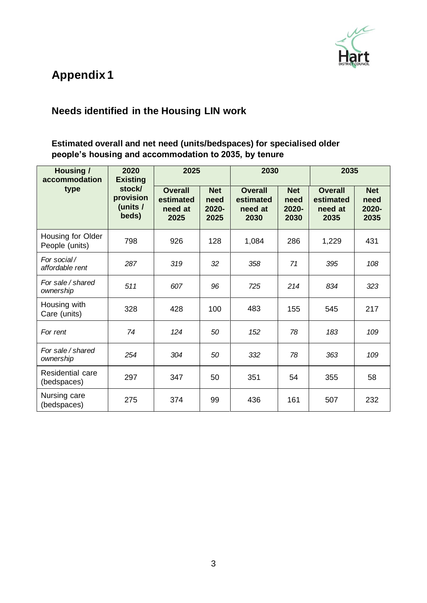

# **Appendix 1**

### **Needs identified in the Housing LIN work**

#### **Estimated overall and net need (units/bedspaces) for specialised older people's housing and accommodation to 2035, by tenure**

| <b>Housing /</b><br>2020<br>accommodation<br><b>Existing</b> |                                          | 2025                                           |                                     | 2030                                           |                                     | 2035                                           |                                     |
|--------------------------------------------------------------|------------------------------------------|------------------------------------------------|-------------------------------------|------------------------------------------------|-------------------------------------|------------------------------------------------|-------------------------------------|
| type                                                         | stock/<br>provision<br>(units /<br>beds) | <b>Overall</b><br>estimated<br>need at<br>2025 | <b>Net</b><br>need<br>2020-<br>2025 | <b>Overall</b><br>estimated<br>need at<br>2030 | <b>Net</b><br>need<br>2020-<br>2030 | <b>Overall</b><br>estimated<br>need at<br>2035 | <b>Net</b><br>need<br>2020-<br>2035 |
| Housing for Older<br>People (units)                          | 798                                      | 926                                            | 128                                 | 1,084                                          | 286                                 | 1,229                                          | 431                                 |
| For social/<br>affordable rent                               | 287                                      | 319                                            | 32                                  | 358                                            | 71                                  | 395                                            | 108                                 |
| For sale / shared<br>ownership                               | 511                                      | 607                                            | 96                                  | 725                                            | 214                                 | 834                                            | 323                                 |
| Housing with<br>Care (units)                                 | 328                                      | 428                                            | 100                                 | 483                                            | 155                                 | 545                                            | 217                                 |
| For rent                                                     | 74                                       | 124                                            | 50                                  | 152                                            | 78                                  | 183                                            | 109                                 |
| For sale/shared<br>ownership                                 | 254                                      | 304                                            | 50                                  | 332                                            | 78                                  | 363                                            | 109                                 |
| Residential care<br>(bedspaces)                              | 297                                      | 347                                            | 50                                  | 351                                            | 54                                  | 355                                            | 58                                  |
| Nursing care<br>(bedspaces)                                  | 275                                      | 374                                            | 99                                  | 436                                            | 161                                 | 507                                            | 232                                 |